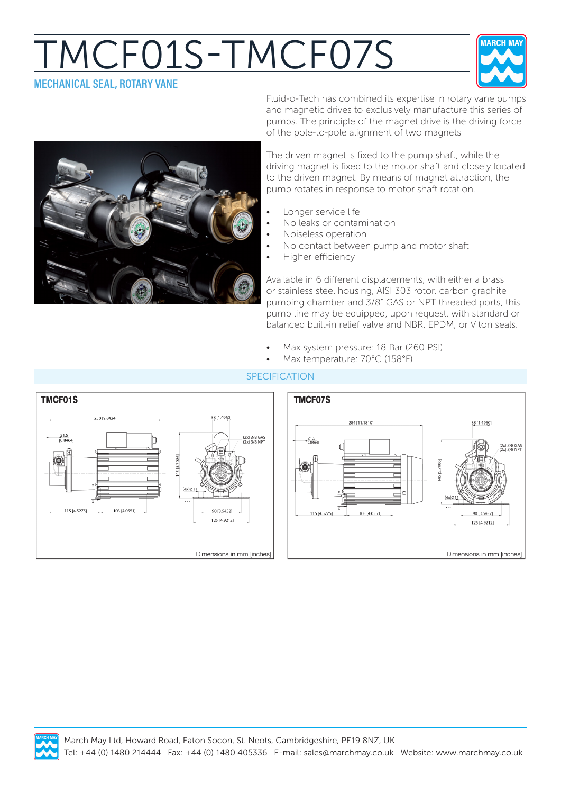## MCF01S-TMCF07S **MECHANICAL SEAL, ROTARY VANE**





Fluid-o-Tech has combined its expertise in rotary vane pumps and magnetic drives to exclusively manufacture this series of pumps. The principle of the magnet drive is the driving force of the pole-to-pole alignment of two magnets

The driven magnet is fixed to the pump shaft, while the driving magnet is fixed to the motor shaft and closely located to the driven magnet. By means of magnet attraction, the pump rotates in response to motor shaft rotation.

- Longer service life
- No leaks or contamination
- Noiseless operation
- No contact between pump and motor shaft
- Higher efficiency

Available in 6 different displacements, with either a brass or stainless steel housing, AISI 303 rotor, carbon graphite pumping chamber and 3/8" GAS or NPT threaded ports, this pump line may be equipped, upon request, with standard or balanced built-in relief valve and NBR, EPDM, or Viton seals.

- Max system pressure: 18 Bar (260 PSI)
- Max temperature: 70°C (158°F)



## SPECIFICATION